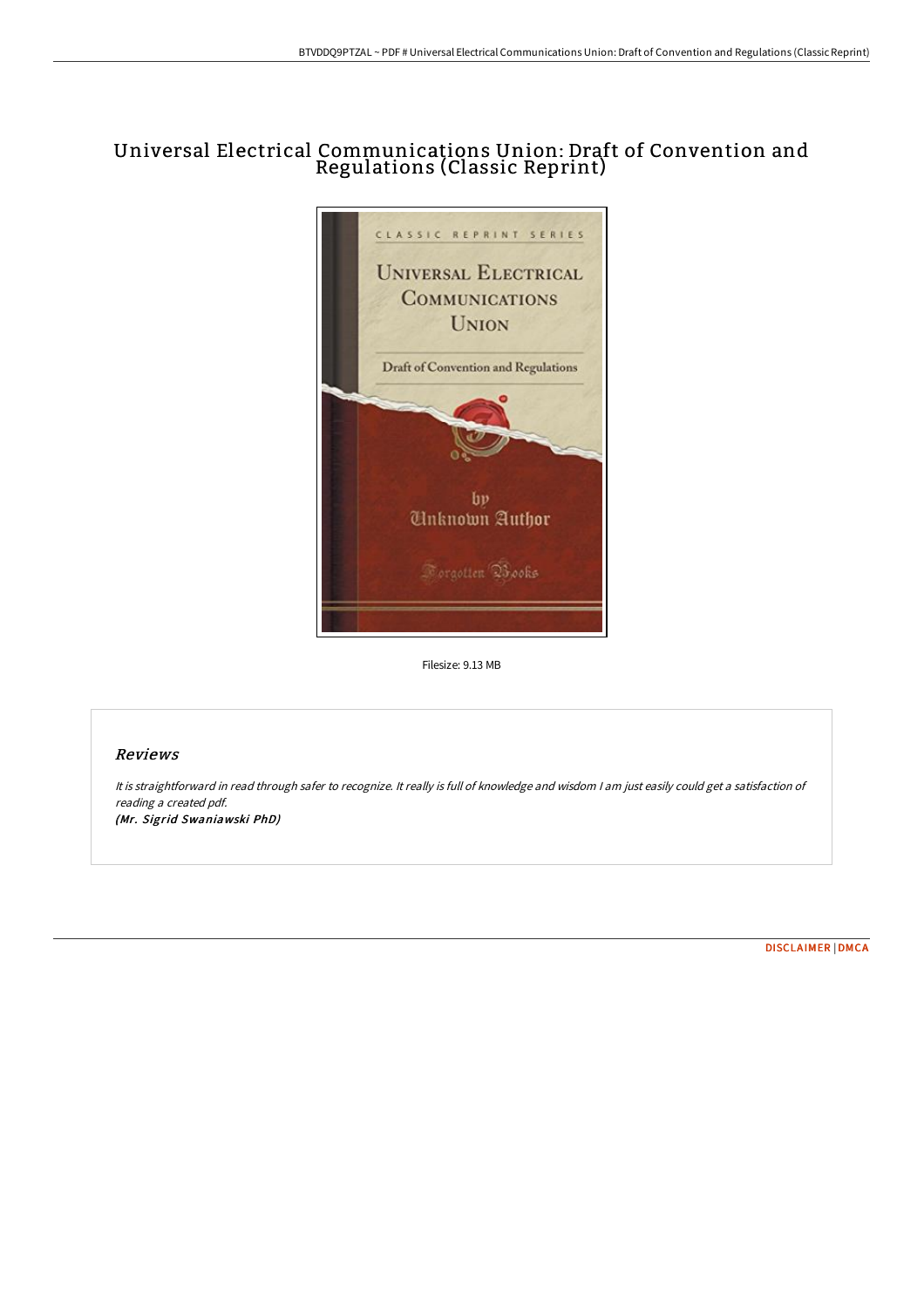# Universal Electrical Communications Union: Draft of Convention and Regulations (Classic Reprint)



Filesize: 9.13 MB

## Reviews

It is straightforward in read through safer to recognize. It really is full of knowledge and wisdom <sup>I</sup> am just easily could get <sup>a</sup> satisfaction of reading <sup>a</sup> created pdf. (Mr. Sigrid Swaniawski PhD)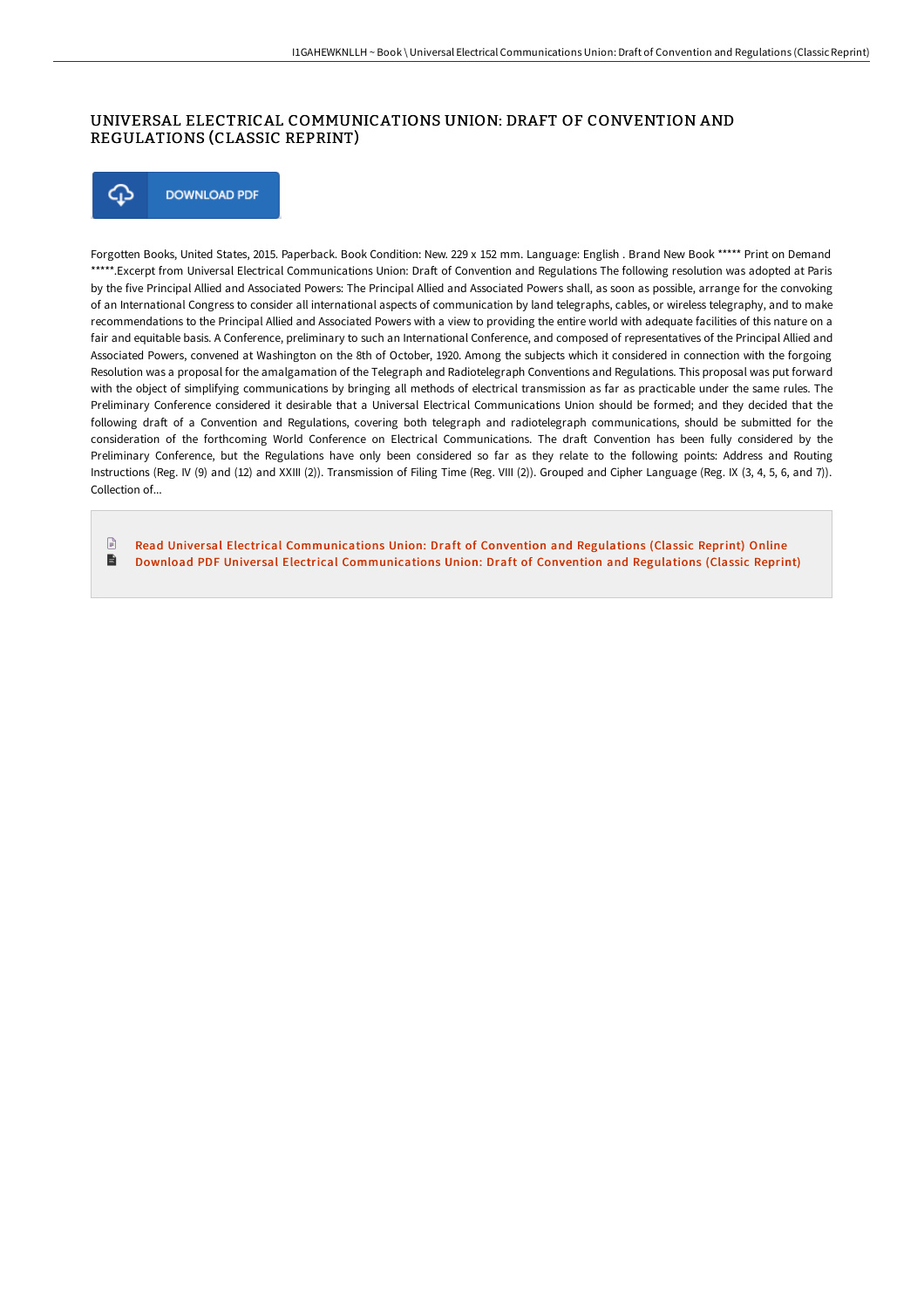### UNIVERSAL ELECTRICAL COMMUNICATIONS UNION: DRAFT OF CONVENTION AND REGULATIONS (CLASSIC REPRINT)

⊕ **DOWNLOAD PDF** 

Forgotten Books, United States, 2015. Paperback. Book Condition: New. 229 x 152 mm. Language: English . Brand New Book \*\*\*\*\* Print on Demand \*\*\*\*\*.Excerpt from Universal Electrical Communications Union: Draft of Convention and Regulations The following resolution was adopted at Paris by the five Principal Allied and Associated Powers: The Principal Allied and Associated Powers shall, as soon as possible, arrange for the convoking of an International Congress to consider all international aspects of communication by land telegraphs, cables, or wireless telegraphy, and to make recommendations to the Principal Allied and Associated Powers with a view to providing the entire world with adequate facilities of this nature on a fair and equitable basis. A Conference, preliminary to such an International Conference, and composed of representatives of the Principal Allied and Associated Powers, convened at Washington on the 8th of October, 1920. Among the subjects which it considered in connection with the forgoing Resolution was a proposal for the amalgamation of the Telegraph and Radiotelegraph Conventions and Regulations. This proposal was put forward with the object of simplifying communications by bringing all methods of electrical transmission as far as practicable under the same rules. The Preliminary Conference considered it desirable that a Universal Electrical Communications Union should be formed; and they decided that the following draft of a Convention and Regulations, covering both telegraph and radiotelegraph communications, should be submitted for the consideration of the forthcoming World Conference on Electrical Communications. The draft Convention has been fully considered by the Preliminary Conference, but the Regulations have only been considered so far as they relate to the following points: Address and Routing Instructions (Reg. IV (9) and (12) and XXIII (2)). Transmission of Filing Time (Reg. VIII (2)). Grouped and Cipher Language (Reg. IX (3, 4, 5, 6, and 7)). Collection of...

- $\Box$ Read Universal Electrical [Communications](http://digilib.live/universal-electrical-communications-union-draft-.html) Union: Draft of Convention and Regulations (Classic Reprint) Online  $\blacksquare$
- Download PDF Universal Electrical [Communications](http://digilib.live/universal-electrical-communications-union-draft-.html) Union: Draft of Convention and Regulations (Classic Reprint)